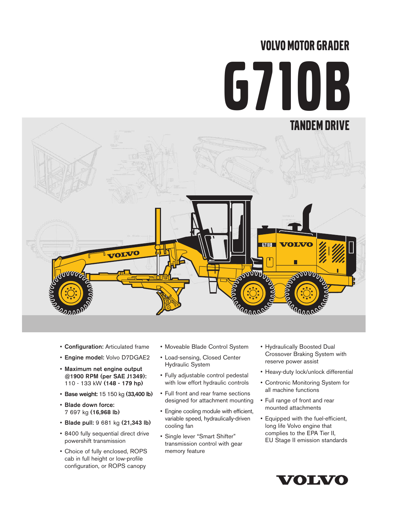# VOLVO MOTOR GRADER G710B



- Configuration: Articulated frame
- Engine model: Volvo D7DGAE2
- Maximum net engine output @1900 RPM (per SAE J1349): 110 - 133 kW (148 - 179 hp)
- Base weight: 15 150 kg (33,400 lb)
- Blade down force: 7 697 kg (16,968 lb)
- Blade pull: 9 681 kg (21,343 lb)
- 8400 fully sequential direct drive powershift transmission
- Choice of fully enclosed, ROPS cab in full height or low-profile configuration, or ROPS canopy
- Moveable Blade Control System
- Load-sensing, Closed Center Hydraulic System
- Fully adjustable control pedestal with low effort hydraulic controls
- Full front and rear frame sections designed for attachment mounting
- Engine cooling module with efficient, variable speed, hydraulically-driven cooling fan
- Single lever "Smart Shifter" transmission control with gear memory feature
- Hydraulically Boosted Dual Crossover Braking System with reserve power assist
- Heavy-duty lock/unlock differential
- Contronic Monitoring System for all machine functions
- Full range of front and rear mounted attachments
- Equipped with the fuel-efficient, long life Volvo engine that complies to the EPA Tier II, EU Stage II emission standards

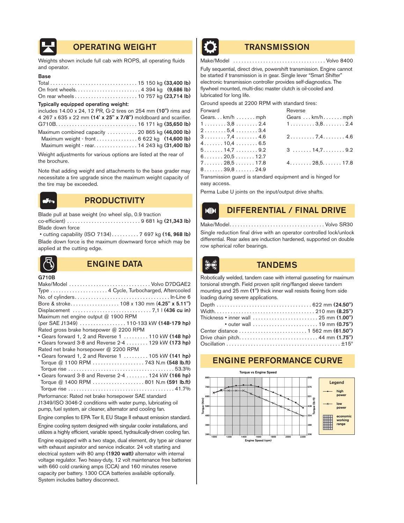

# OPERATING WEIGHT **TRANSMISSION**

Weights shown include full cab with ROPS, all operating fluids and operator.

#### Base

#### Typically equipped operating weight:

| includes 14.00 x 24, 12 PR, G-2 tires on 254 mm (10") rims and  |
|-----------------------------------------------------------------|
| 4 267 x 635 x 22 mm (14' x 25" x 7/8") moldboard and scarifier. |
|                                                                 |
| Maximum combined capacity  20 865 kg (46,000 lb)                |
| Maximum weight - front 6 622 kg (14,600 lb)                     |
| Maximum weight - rear. 14 243 kg (31,400 lb)                    |

Weight adjustments for various options are listed at the rear of the brochure.

Note that adding weight and attachments to the base grader may necessitate a tire upgrade since the maximum weight capacity of the tire may be exceeded.



# **PRODUCTIVITY**

Blade pull at base weight (no wheel slip, 0.9 traction

co-efficient) . . . . . . . . . . . . . . . . . . . . . . . . . . . 9 681 kg (21,343 lb) Blade down force

• cutting capability (ISO 7134). . . . . . . . . . 7 697 kg (16, 968 lb) Blade down force is the maximum downward force which may be applied at the cutting edge.



# ENGINE DATA TANDEMS

#### G710B

| Make/Model  Volvo D7DGAE2                                    |
|--------------------------------------------------------------|
| Type  4 Cycle, Turbocharged, Aftercooled                     |
|                                                              |
| Bore & stroke 108 x 130 mm (4.25" x 5.11")                   |
|                                                              |
| Maximum net engine output @ 1900 RPM                         |
| (per SAE J1349)  110-133 kW (148-179 hp)                     |
| Rated gross brake horsepower @ 2200 RPM                      |
| • Gears forward 1, 2 and Reverse 1  110 kW (148 hp)          |
| • Gears forward 3-8 and Reverse 2-4 129 kW (173 hp)          |
| Rated net brake horsepower @ 2200 RPM                        |
| • Gears forward 1, 2 and Reverse 1  105 kW (141 hp)          |
| Torque @ 1100 RPM  743 N.m (548 lb.ft)                       |
|                                                              |
| • Gears forward 3-8 and Reverse 2-4 124 kW (166 hp)          |
| Torque @ 1400 RPM 801 N.m (591 lb.ft)                        |
|                                                              |
| Performance: Rated net brake horsepower SAE standard         |
| J1349/ISO 3046-2 conditions with water pump, lubricating oil |
| pump, fuel system, air cleaner, alternator and cooling fan.  |

Engine complies to EPA Tier II, EU Stage II exhaust emission standard.

Engine cooling system designed with singular cooler installations, and utilizes a highly efficient, variable speed, hydraulically-driven cooling fan.

Engine equipped with a two stage, dual element, dry type air cleaner with exhaust aspirator and service indicator. 24 volt starting and electrical system with 80 amp (1920 watt) alternator with internal voltage regulator. Two heavy-duty, 12 volt maintenance free batteries with 660 cold cranking amps (CCA) and 160 minutes reserve capacity per battery. 1300 CCA batteries available optionally. System includes battery disconnect.



Make/Model . . . . . . . . . . . . . . . . . . . . . . . . . . . . . . . . . . Volvo 8400

Fully sequential, direct drive, powershift transmission. Engine cannot be started if transmission is in gear. Single lever "Smart Shifter" electronic transmission controller provides self-diagnostics. The flywheel mounted, multi-disc master clutch is oil-cooled and lubricated for long life.

Ground speeds at 2200 RPM with standard tires:

| Forward                                               | Reverse                                        |
|-------------------------------------------------------|------------------------------------------------|
| Gearskm/hmm                                           | Gears  km/h mph                                |
| $1 \ldots \ldots \ldots 3,8 \ldots \ldots 2.4$        | $1 \ldots \ldots \ldots 3,8 \ldots \ldots 2.4$ |
| $2 \ldots 5,4 \ldots 3.4$                             |                                                |
| $3 \ldots \ldots \ldots 7,4 \ldots \ldots \ldots 4.6$ | $2 \ldots 7,4 \ldots 4.6$                      |
| $4. \ldots \ldots 10, 4 \ldots \ldots 6.5$            |                                                |
| 5. 14,7 9.2                                           | $3 \ldots \ldots 14, 7 \ldots \ldots 9.2$      |
| $6 \ldots 20.5 \ldots 12.7$                           |                                                |
| $7.\dots 28.5\dots 17.8$                              | $4.\dots\dots. 28.5.\dots. 17.8$               |
| $8. \ldots \ldots 39.8 \ldots \ldots 24.9$            |                                                |
|                                                       |                                                |

Transmission guard is standard equipment and is hinged for easy access.

Perma Lube U joints on the input/output drive shafts.

#### DIFFERENTIAL / FINAL DRIVE  $M$

#### Make/Model. . . . . . . . . . . . . . . . . . . . . . . . . . . . . . . . . . . Volvo SR30

Single reduction final drive with an operator controlled lock/unlock differential. Rear axles are induction hardened, supported on double row spherical roller bearings.



Robotically welded, tandem case with internal gusseting for maximum torsional strength. Field proven split ring/flanged sleeve tandem mounting and 25 mm (1") thick inner wall resists flexing from side loading during severe applications.

| Thickness • inner wall $\ldots \ldots \ldots \ldots \ldots \ldots \ldots \ldots 25$ mm $(1.00")$ |  |
|--------------------------------------------------------------------------------------------------|--|
|                                                                                                  |  |
|                                                                                                  |  |
| Drive chain pitch 44 mm (1.75")                                                                  |  |
|                                                                                                  |  |

# ENGINE PERFORMANCE CURVE

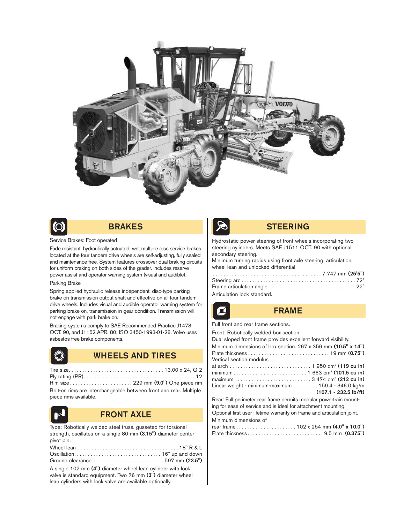



# BRAKES

#### Service Brakes: Foot operated

Fade resistant, hydraulically actuated, wet multiple disc service brakes located at the four tandem drive wheels are self-adjusting, fully sealed and maintenance free. System features crossover dual braking circuits for uniform braking on both sides of the grader. Includes reserve power assist and operator warning system (visual and audible).

#### Parking Brake

Spring applied hydraulic release independent, disc-type parking brake on transmission output shaft and effective on all four tandem drive wheels. Includes visual and audible operator warning system for parking brake on, transmission in gear condition. Transmission will not engage with park brake on.

Braking systems comply to SAE Recommended Practice J1473 OCT. 90, and J1152 APR. 80; ISO 3450-1993-01-28. Volvo uses asbestos-free brake components.



# WHEELS AND TIRES

Tire size. . . . . . . . . . . . . . . . . . . . . . . . . . . . . . . . . . . 13.00 x 24, G-2 Ply rating (PR). . . . . . . . . . . . . . . . . . . . . . . . . . . . . . . . . . . . . . . . . 12 Rim size . . . . . . . . . . . . . . . . . . . . . . . 229 mm (9.0") One piece rim Bolt-on rims are interchangeable between front and rear. Multiple piece rims available.



## FRONT AXLE

Type: Robotically welded steel truss, gusseted for torsional strength, oscillates on a single 80 mm (3.15") diameter center pivot pin.

| A single 102 mm (4") diameter wheel lean cylinder with lock<br>valve is standard equipment. Two 76 mm (3") diameter wheel<br>lean cylinders with lock valve are available optionally. |
|---------------------------------------------------------------------------------------------------------------------------------------------------------------------------------------|



## STEERING

Hydrostatic power steering of front wheels incorporating two steering cylinders. Meets SAE J1511 OCT. 90 with optional secondary steering.

Minimum turning radius using front axle steering, articulation, wheel lean and unlocked differential

| Articulation lock standard. |  |
|-----------------------------|--|

## FRAME

Full front and rear frame sections.

| Front: Robotically welded box section.                                 |
|------------------------------------------------------------------------|
| Dual sloped front frame provides excellent forward visibility.         |
| Minimum dimensions of box section. 267 x 356 mm (10.5" x 14")          |
|                                                                        |
| Vertical section modulus                                               |
|                                                                        |
|                                                                        |
|                                                                        |
| Linear weight - minimum-maximum  159.4 - 346.0 kg/m                    |
| $(107.1 - 232.5 \text{ lb/ft})$                                        |
| Rear: Full perimeter rear frame permits modular powertrain mount-      |
| ing for ease of service and is ideal for attachment mounting.          |
| Optional first user lifetime warranty on frame and articulation joint. |
|                                                                        |

| Minimum dimensions of |  |
|-----------------------|--|
|                       |  |
|                       |  |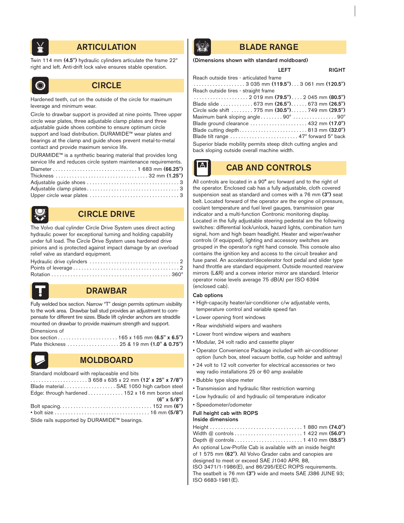

# **ARTICULATION BLADE RANGE**

Twin 114 mm (4.5") hydraulic cylinders articulate the frame 22º right and left. Anti-drift lock valve ensures stable operation.



# **CIRCLE**

Hardened teeth, cut on the outside of the circle for maximum leverage and minimum wear.

Circle to drawbar support is provided at nine points. Three upper circle wear plates, three adjustable clamp plates and three adjustable guide shoes combine to ensure optimum circle support and load distribution. DURAMIDE™ wear plates and bearings at the clamp and guide shoes prevent metal-to-metal contact and provide maximum service life.

DURAMIDE™ is a synthetic bearing material that provides long service life and reduces circle system maintenance requirements. Diameter . . . . . . . . . . . . . . . . . . . . . . . . . . . . . . . 1 683 mm (66.25") Thickness . . . . . . . . . . . . . . . . . . . . . . . . . . . . . . . . . . 32 mm (1.25") Adjustable guide shoes . . . . . . . . . . . . . . . . . . . . . . . . . . . . . . . . . . 3 Adjustable clamp plates . . . . . . . . . . . . . . . . . . . . . . . . . . . . . . . . . . 3 Upper circle wear plates . . . . . . . . . . . . . . . . . . . . . . . . . . . . . . . . . 3



# CIRCLE DRIVE

The Volvo dual cylinder Circle Drive System uses direct acting hydraulic power for exceptional turning and holding capability under full load. The Circle Drive System uses hardened drive pinions and is protected against impact damage by an overload relief valve as standard equipment.



# DRAWBAR

Fully welded box section. Narrow "T" design permits optimum visibility to the work area. Drawbar ball stud provides an adjustment to compensate for different tire sizes. Blade lift cylinder anchors are straddle mounted on drawbar to provide maximum strength and support. Dimensions of



# MOLDBOARD

Standard moldboard with replaceable end bits

|                                              | Blade material SAE 1050 high carbon steel      |
|----------------------------------------------|------------------------------------------------|
|                                              | Edge: through hardened 152 x 16 mm boron steel |
|                                              | $(6" \times 5/8")$                             |
|                                              |                                                |
|                                              |                                                |
| Slide rails supported by DURAMIDE™ bearings. |                                                |

### (Dimensions shown with standard moldboard)

## LEFT RIGHT

| Reach outside tires – articulated frame                                                |
|----------------------------------------------------------------------------------------|
| $\ldots \ldots \ldots \ldots \ldots \ldots$ 3 035 mm (119.5") 3 061 mm (120.5")        |
| Reach outside tires - straight frame                                                   |
| $\ldots \ldots \ldots \ldots \ldots \ldots 2019$ mm $(79.5") \ldots 2045$ mm $(80.5")$ |
| Blade slide  673 mm (26.5") 673 mm (26.5")                                             |
| Circle side shift  775 mm (30.5") 749 mm (29.5")                                       |
| Maximum bank sloping angle $\dots \dots 90^\circ \dots \dots \dots \dots 90^\circ$     |
|                                                                                        |
| Blade cutting depth813 mm $(32.0")$                                                    |
|                                                                                        |
| Superior blade mobility permits steep ditch cutting angles and                         |
| back sloping outside overall machine width.                                            |
|                                                                                        |

CAB AND CONTROLS

All controls are located in a 90° arc forward and to the right of the operator. Enclosed cab has a fully adjustable, cloth covered suspension seat as standard and comes with a 76 mm (3") seat belt. Located forward of the operator are the engine oil pressure, coolant temperature and fuel level gauges, transmission gear indicator and a multi-function Contronic monitoring display. Located in the fully adjustable steering pedestal are the following switches: differential lock/unlock, hazard lights, combination turn signal, horn and high beam headlight. Heater and wiper/washer controls (if equipped), lighting and accessory switches are grouped in the operator's right hand console. This console also contains the ignition key and access to the circuit breaker and fuse panel. An accelerator/decelerator foot pedal and slider type hand throttle are standard equipment. Outside mounted rearview mirrors (L&R) and a convex interior mirror are standard. Interior operator noise levels average 75 dB(A) per ISO 6394 (enclosed cab).

#### Cab options

 $\mathbf{A}$ 

- High-capacity heater/air-conditioner c/w adjustable vents, temperature control and variable speed fan
- Lower opening front windows
- Rear windshield wipers and washers
- Lower front window wipers and washers
- Modular, 24 volt radio and cassette player
- Operator Convenience Package included with air-conditioner option (lunch box, steel vacuum bottle, cup holder and ashtray)
- 24 volt to 12 volt converter for electrical accessories or two way radio installations 25 or 60 amp available
- Bubble type slope meter
	- Transmission and hydraulic filter restriction warning
	- Low hydraulic oil and hydraulic oil temperature indicator
	- Speedometer/odometer

# Full height cab with ROPS

| <b>Inside dimensions</b> |  |
|--------------------------|--|
|                          |  |

| An optional Low-Profile Cab is available with an inside height<br>of 1 575 mm (62"). All Volvo Grader cabs and canopies are<br>designed to meet or exceed SAE J1040 APR. 88, |
|------------------------------------------------------------------------------------------------------------------------------------------------------------------------------|
| ISO 3471/1-1986(E), and 86/295/EEC ROPS requirements.<br>The seatbelt is 76 mm (3") wide and meets SAE J386 JUNE 93;                                                         |
| ISO 6683-1981(E).                                                                                                                                                            |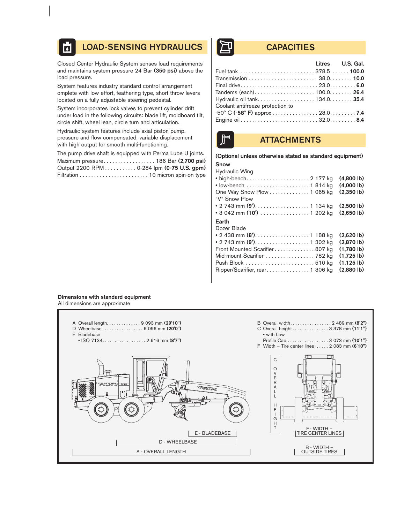#### LOAD-SENSING HYDRAULICS | THE CAPACITIES  $\overline{\mathbf{b}}$

Closed Center Hydraulic System senses load requirements and maintains system pressure 24 Bar (350 psi) above the load pressure.

System features industry standard control arrangement omplete with low effort, feathering type, short throw levers located on a fully adjustable steering pedestal.

System incorporates lock valves to prevent cylinder drift under load in the following circuits: blade lift, moldboard tilt, circle shift, wheel lean, circle turn and articulation.

Hydraulic system features include axial piston pump, pressure and flow compensated, variable displacement with high output for smooth multi-functioning.

The pump drive shaft is equipped with Perma Lube U joints. Maximum pressure. . . . . . . . . . . . . . . . . . 186 Bar (2,700 psi) Output 2200 RPM . . . . . . . . . . . 0-284 lpm (0-75 U.S. gpm) Filtration . . . . . . . . . . . . . . . . . . . . . . . . 10 micron spin-on type

| Fuel tank  378.5  100.0                             |
|-----------------------------------------------------|
|                                                     |
|                                                     |
|                                                     |
| Tandems (each)100.0 26.4                            |
| Hydraulic oil tank 134.0 35.4                       |
|                                                     |
| $-50^{\circ}$ C ( $-58^{\circ}$ F) approx 28.0. 7.4 |
|                                                     |
|                                                     |



# **ATTACHMENTS**

#### (Optional unless otherwise stated as standard equipment)

| <b>Snow</b>    |  |
|----------------|--|
| Hydraulic Wing |  |

| <b>I</b> IVUIUUIIU VVIIIU<br>• high-bench 2 177 kg             | $(4.800 \, lb)$<br>$(4,000 \, lb)$ |
|----------------------------------------------------------------|------------------------------------|
| One Way Snow Plow 1 065 kg<br>"V" Snow Plow                    | $(2,350 \, lb)$                    |
| • 2 743 mm (9'). 1 134 kg                                      | $(2.500 \, lb)$                    |
| • 3 042 mm (10') $\ldots \ldots \ldots \ldots \ldots$ 1 202 kg | $(2.650 \, lb)$                    |
| Earth<br>Dozer Blade                                           |                                    |
| • 2 438 mm (8'). 1 188 kg                                      | $(2.620 \, lb)$                    |
| • 2 743 mm (9'). 1 302 kg                                      | (2.870)                            |
| Front Mounted Scarifier807 kg                                  | $(1.780 \, lb)$                    |
| Mid-mount Scarifier  782 kg                                    | $(1.725 \, lb)$                    |
|                                                                | $(1.125 \, lb)$                    |
| Ripper/Scarifier, rear 1 306 kg                                | (2.880)                            |

#### Dimensions with standard equipment All dimensions are approximate